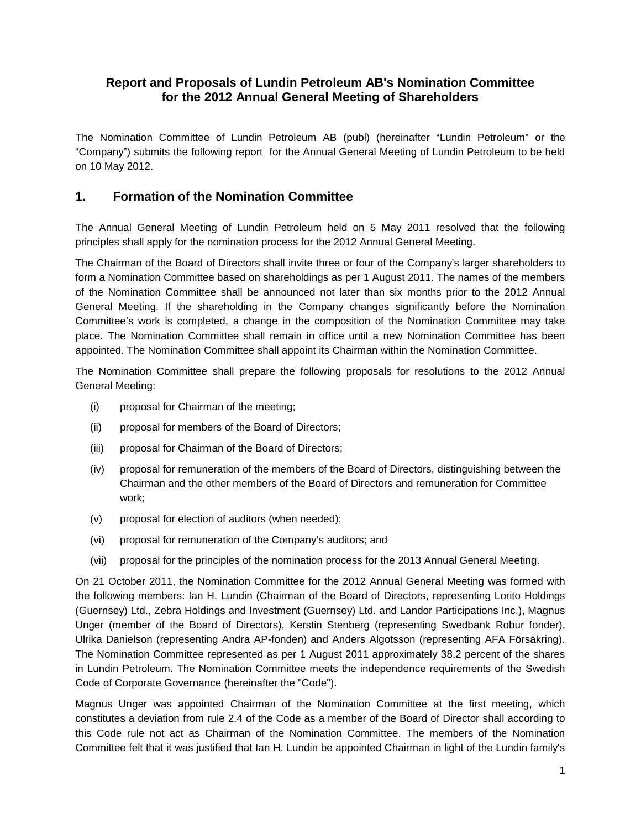### **Report and Proposals of Lundin Petroleum AB's Nomination Committee for the 2012 Annual General Meeting of Shareholders**

The Nomination Committee of Lundin Petroleum AB (publ) (hereinafter "Lundin Petroleum" or the "Company") submits the following report for the Annual General Meeting of Lundin Petroleum to be held on 10 May 2012.

### **1. Formation of the Nomination Committee**

The Annual General Meeting of Lundin Petroleum held on 5 May 2011 resolved that the following principles shall apply for the nomination process for the 2012 Annual General Meeting.

The Chairman of the Board of Directors shall invite three or four of the Company's larger shareholders to form a Nomination Committee based on shareholdings as per 1 August 2011. The names of the members of the Nomination Committee shall be announced not later than six months prior to the 2012 Annual General Meeting. If the shareholding in the Company changes significantly before the Nomination Committee's work is completed, a change in the composition of the Nomination Committee may take place. The Nomination Committee shall remain in office until a new Nomination Committee has been appointed. The Nomination Committee shall appoint its Chairman within the Nomination Committee.

The Nomination Committee shall prepare the following proposals for resolutions to the 2012 Annual General Meeting:

- (i) proposal for Chairman of the meeting;
- (ii) proposal for members of the Board of Directors;
- (iii) proposal for Chairman of the Board of Directors;
- (iv) proposal for remuneration of the members of the Board of Directors, distinguishing between the Chairman and the other members of the Board of Directors and remuneration for Committee work;
- (v) proposal for election of auditors (when needed);
- (vi) proposal for remuneration of the Company's auditors; and
- (vii) proposal for the principles of the nomination process for the 2013 Annual General Meeting.

On 21 October 2011, the Nomination Committee for the 2012 Annual General Meeting was formed with the following members: Ian H. Lundin (Chairman of the Board of Directors, representing Lorito Holdings (Guernsey) Ltd., Zebra Holdings and Investment (Guernsey) Ltd. and Landor Participations Inc.), Magnus Unger (member of the Board of Directors), Kerstin Stenberg (representing Swedbank Robur fonder), Ulrika Danielson (representing Andra AP-fonden) and Anders Algotsson (representing AFA Försäkring). The Nomination Committee represented as per 1 August 2011 approximately 38.2 percent of the shares in Lundin Petroleum. The Nomination Committee meets the independence requirements of the Swedish Code of Corporate Governance (hereinafter the "Code").

Magnus Unger was appointed Chairman of the Nomination Committee at the first meeting, which constitutes a deviation from rule 2.4 of the Code as a member of the Board of Director shall according to this Code rule not act as Chairman of the Nomination Committee. The members of the Nomination Committee felt that it was justified that Ian H. Lundin be appointed Chairman in light of the Lundin family's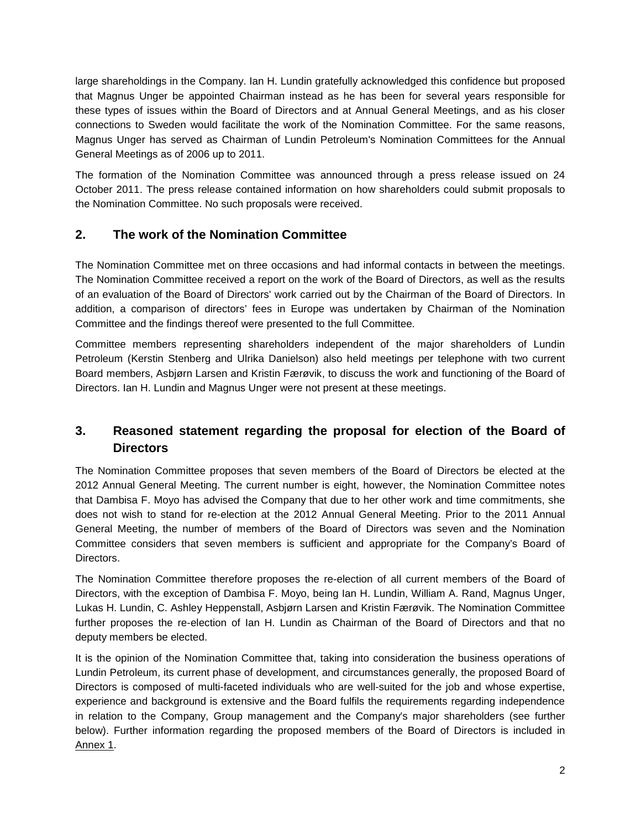large shareholdings in the Company. Ian H. Lundin gratefully acknowledged this confidence but proposed that Magnus Unger be appointed Chairman instead as he has been for several years responsible for these types of issues within the Board of Directors and at Annual General Meetings, and as his closer connections to Sweden would facilitate the work of the Nomination Committee. For the same reasons, Magnus Unger has served as Chairman of Lundin Petroleum's Nomination Committees for the Annual General Meetings as of 2006 up to 2011.

The formation of the Nomination Committee was announced through a press release issued on 24 October 2011. The press release contained information on how shareholders could submit proposals to the Nomination Committee. No such proposals were received.

### **2. The work of the Nomination Committee**

The Nomination Committee met on three occasions and had informal contacts in between the meetings. The Nomination Committee received a report on the work of the Board of Directors, as well as the results of an evaluation of the Board of Directors' work carried out by the Chairman of the Board of Directors. In addition, a comparison of directors' fees in Europe was undertaken by Chairman of the Nomination Committee and the findings thereof were presented to the full Committee.

Committee members representing shareholders independent of the major shareholders of Lundin Petroleum (Kerstin Stenberg and Ulrika Danielson) also held meetings per telephone with two current Board members, Asbjørn Larsen and Kristin Færøvik, to discuss the work and functioning of the Board of Directors. Ian H. Lundin and Magnus Unger were not present at these meetings.

## **3. Reasoned statement regarding the proposal for election of the Board of Directors**

The Nomination Committee proposes that seven members of the Board of Directors be elected at the 2012 Annual General Meeting. The current number is eight, however, the Nomination Committee notes that Dambisa F. Moyo has advised the Company that due to her other work and time commitments, she does not wish to stand for re-election at the 2012 Annual General Meeting. Prior to the 2011 Annual General Meeting, the number of members of the Board of Directors was seven and the Nomination Committee considers that seven members is sufficient and appropriate for the Company's Board of Directors.

The Nomination Committee therefore proposes the re-election of all current members of the Board of Directors, with the exception of Dambisa F. Moyo, being Ian H. Lundin, William A. Rand, Magnus Unger, Lukas H. Lundin, C. Ashley Heppenstall, Asbjørn Larsen and Kristin Færøvik. The Nomination Committee further proposes the re-election of Ian H. Lundin as Chairman of the Board of Directors and that no deputy members be elected.

It is the opinion of the Nomination Committee that, taking into consideration the business operations of Lundin Petroleum, its current phase of development, and circumstances generally, the proposed Board of Directors is composed of multi-faceted individuals who are well-suited for the job and whose expertise, experience and background is extensive and the Board fulfils the requirements regarding independence in relation to the Company, Group management and the Company's major shareholders (see further below). Further information regarding the proposed members of the Board of Directors is included in Annex 1.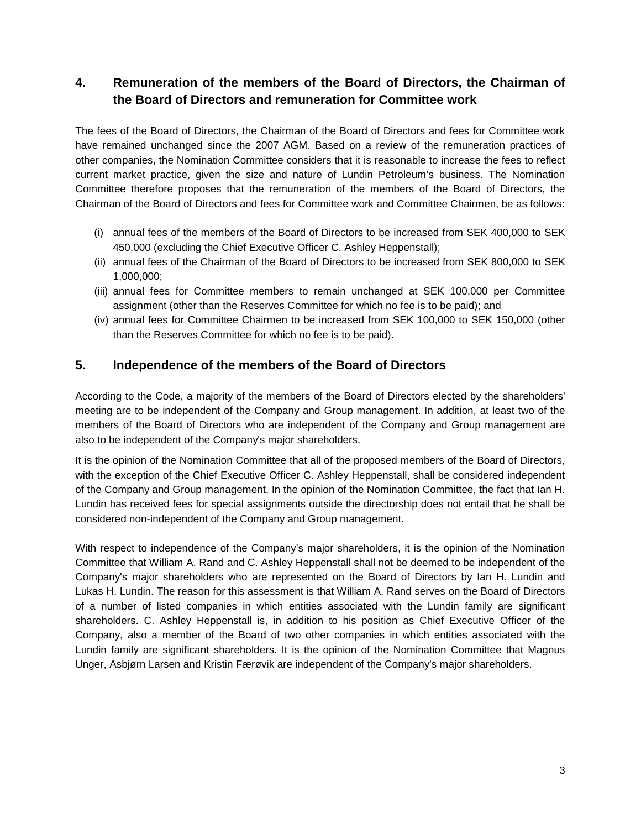## **4. Remuneration of the members of the Board of Directors, the Chairman of the Board of Directors and remuneration for Committee work**

The fees of the Board of Directors, the Chairman of the Board of Directors and fees for Committee work have remained unchanged since the 2007 AGM. Based on a review of the remuneration practices of other companies, the Nomination Committee considers that it is reasonable to increase the fees to reflect current market practice, given the size and nature of Lundin Petroleum's business. The Nomination Committee therefore proposes that the remuneration of the members of the Board of Directors, the Chairman of the Board of Directors and fees for Committee work and Committee Chairmen, be as follows:

- (i) annual fees of the members of the Board of Directors to be increased from SEK 400,000 to SEK 450,000 (excluding the Chief Executive Officer C. Ashley Heppenstall);
- (ii) annual fees of the Chairman of the Board of Directors to be increased from SEK 800,000 to SEK 1,000,000;
- (iii) annual fees for Committee members to remain unchanged at SEK 100,000 per Committee assignment (other than the Reserves Committee for which no fee is to be paid); and
- (iv) annual fees for Committee Chairmen to be increased from SEK 100,000 to SEK 150,000 (other than the Reserves Committee for which no fee is to be paid).

### **5. Independence of the members of the Board of Directors**

According to the Code, a majority of the members of the Board of Directors elected by the shareholders' meeting are to be independent of the Company and Group management. In addition, at least two of the members of the Board of Directors who are independent of the Company and Group management are also to be independent of the Company's major shareholders.

It is the opinion of the Nomination Committee that all of the proposed members of the Board of Directors, with the exception of the Chief Executive Officer C. Ashley Heppenstall, shall be considered independent of the Company and Group management. In the opinion of the Nomination Committee, the fact that Ian H. Lundin has received fees for special assignments outside the directorship does not entail that he shall be considered non-independent of the Company and Group management.

With respect to independence of the Company's major shareholders, it is the opinion of the Nomination Committee that William A. Rand and C. Ashley Heppenstall shall not be deemed to be independent of the Company's major shareholders who are represented on the Board of Directors by Ian H. Lundin and Lukas H. Lundin. The reason for this assessment is that William A. Rand serves on the Board of Directors of a number of listed companies in which entities associated with the Lundin family are significant shareholders. C. Ashley Heppenstall is, in addition to his position as Chief Executive Officer of the Company, also a member of the Board of two other companies in which entities associated with the Lundin family are significant shareholders. It is the opinion of the Nomination Committee that Magnus Unger, Asbjørn Larsen and Kristin Færøvik are independent of the Company's major shareholders.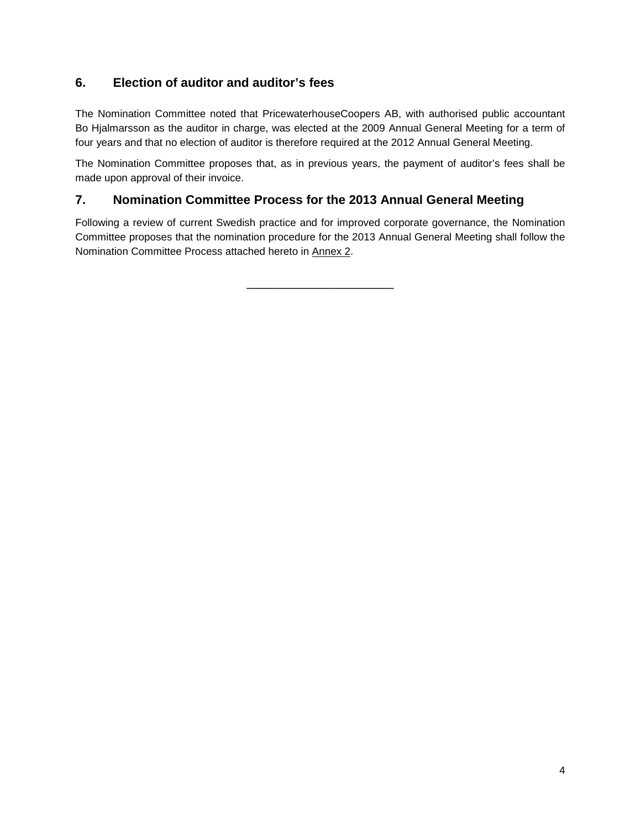### **6. Election of auditor and auditor's fees**

The Nomination Committee noted that PricewaterhouseCoopers AB, with authorised public accountant Bo Hjalmarsson as the auditor in charge, was elected at the 2009 Annual General Meeting for a term of four years and that no election of auditor is therefore required at the 2012 Annual General Meeting.

The Nomination Committee proposes that, as in previous years, the payment of auditor's fees shall be made upon approval of their invoice.

### **7. Nomination Committee Process for the 2013 Annual General Meeting**

Following a review of current Swedish practice and for improved corporate governance, the Nomination Committee proposes that the nomination procedure for the 2013 Annual General Meeting shall follow the Nomination Committee Process attached hereto in Annex 2.

\_\_\_\_\_\_\_\_\_\_\_\_\_\_\_\_\_\_\_\_\_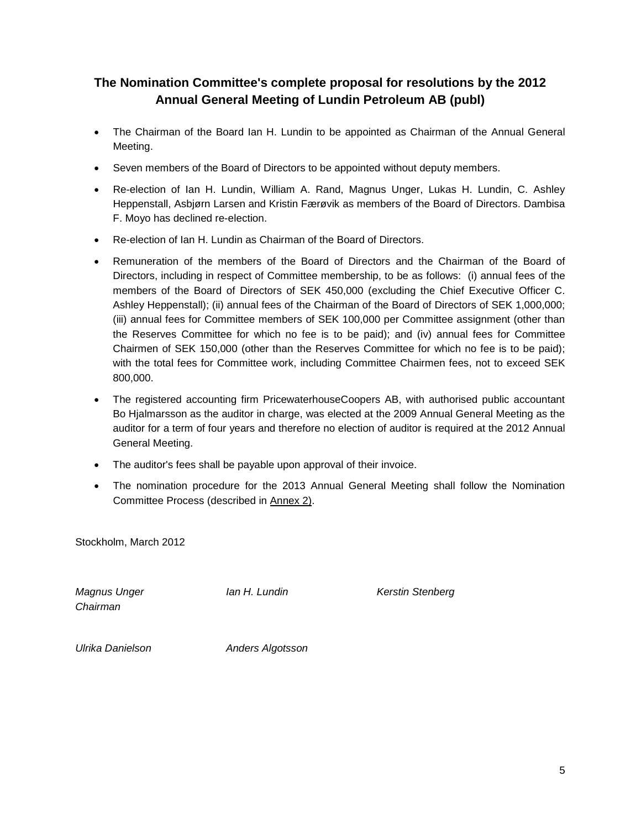## **The Nomination Committee's complete proposal for resolutions by the 2012 Annual General Meeting of Lundin Petroleum AB (publ)**

- The Chairman of the Board Ian H. Lundin to be appointed as Chairman of the Annual General Meeting.
- Seven members of the Board of Directors to be appointed without deputy members.
- Re-election of Ian H. Lundin, William A. Rand, Magnus Unger, Lukas H. Lundin, C. Ashley Heppenstall, Asbjørn Larsen and Kristin Færøvik as members of the Board of Directors. Dambisa F. Moyo has declined re-election.
- Re-election of Ian H. Lundin as Chairman of the Board of Directors.
- Remuneration of the members of the Board of Directors and the Chairman of the Board of Directors, including in respect of Committee membership, to be as follows: (i) annual fees of the members of the Board of Directors of SEK 450,000 (excluding the Chief Executive Officer C. Ashley Heppenstall); (ii) annual fees of the Chairman of the Board of Directors of SEK 1,000,000; (iii) annual fees for Committee members of SEK 100,000 per Committee assignment (other than the Reserves Committee for which no fee is to be paid); and (iv) annual fees for Committee Chairmen of SEK 150,000 (other than the Reserves Committee for which no fee is to be paid); with the total fees for Committee work, including Committee Chairmen fees, not to exceed SEK 800,000.
- The registered accounting firm PricewaterhouseCoopers AB, with authorised public accountant Bo Hjalmarsson as the auditor in charge, was elected at the 2009 Annual General Meeting as the auditor for a term of four years and therefore no election of auditor is required at the 2012 Annual General Meeting.
- The auditor's fees shall be payable upon approval of their invoice.
- The nomination procedure for the 2013 Annual General Meeting shall follow the Nomination Committee Process (described in Annex 2).

Stockholm, March 2012

*Chairman*

*Magnus Unger Ian H. Lundin Kerstin Stenberg*

*Ulrika Danielson Anders Algotsson*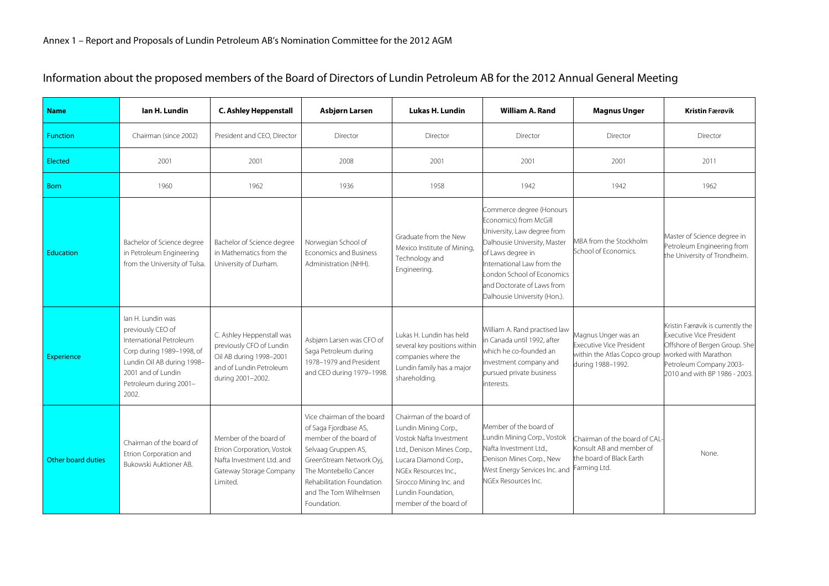| <b>Name</b>               | lan H. Lundin                                                                                                                                                                         | <b>C. Ashley Heppenstall</b>                                                                                                     | Asbjørn Larsen                                                                                                                                                                                                                  | <b>Lukas H. Lundin</b>                                                                                                                                                                                                                | <b>William A. Rand</b>                                                                                                                                                                                                                                           | <b>Magnus Unger</b>                                                                                  | <b>Kristin Færøvik</b>                                                                                                                                                                   |
|---------------------------|---------------------------------------------------------------------------------------------------------------------------------------------------------------------------------------|----------------------------------------------------------------------------------------------------------------------------------|---------------------------------------------------------------------------------------------------------------------------------------------------------------------------------------------------------------------------------|---------------------------------------------------------------------------------------------------------------------------------------------------------------------------------------------------------------------------------------|------------------------------------------------------------------------------------------------------------------------------------------------------------------------------------------------------------------------------------------------------------------|------------------------------------------------------------------------------------------------------|------------------------------------------------------------------------------------------------------------------------------------------------------------------------------------------|
| <b>Function</b>           | Chairman (since 2002)                                                                                                                                                                 | President and CEO, Director                                                                                                      | Director                                                                                                                                                                                                                        | Director                                                                                                                                                                                                                              | Director                                                                                                                                                                                                                                                         | Director                                                                                             | Director                                                                                                                                                                                 |
| <b>Elected</b>            | 2001                                                                                                                                                                                  | 2001                                                                                                                             | 2008                                                                                                                                                                                                                            | 2001                                                                                                                                                                                                                                  | 2001                                                                                                                                                                                                                                                             | 2001                                                                                                 | 2011                                                                                                                                                                                     |
| <b>Born</b>               | 1960                                                                                                                                                                                  | 1962                                                                                                                             | 1936                                                                                                                                                                                                                            | 1958                                                                                                                                                                                                                                  | 1942                                                                                                                                                                                                                                                             | 1942                                                                                                 | 1962                                                                                                                                                                                     |
| <b>Education</b>          | Bachelor of Science degree<br>in Petroleum Engineering<br>from the University of Tulsa.                                                                                               | Bachelor of Science degree<br>in Mathematics from the<br>University of Durham.                                                   | Norwegian School of<br>Economics and Business<br>Administration (NHH).                                                                                                                                                          | Graduate from the New<br>Mexico Institute of Mining,<br>Technology and<br>Engineering.                                                                                                                                                | Commerce degree (Honours<br>Economics) from McGill<br>University, Law degree from<br>Dalhousie University, Master<br>of Laws degree in<br>International Law from the<br>London School of Economics<br>and Doctorate of Laws from<br>Dalhousie University (Hon.). | MBA from the Stockholm<br>School of Economics.                                                       | Master of Science degree in<br>Petroleum Engineering from<br>the University of Trondheim.                                                                                                |
| <b>Experience</b>         | lan H. Lundin was<br>previously CEO of<br>International Petroleum<br>Corp during 1989-1998, of<br>Lundin Oil AB during 1998-<br>2001 and of Lundin<br>Petroleum during 2001-<br>2002. | C. Ashley Heppenstall was<br>previously CFO of Lundin<br>Oil AB during 1998-2001<br>and of Lundin Petroleum<br>during 2001-2002. | Asbjørn Larsen was CFO of<br>Saga Petroleum during<br>1978-1979 and President<br>and CEO during 1979-1998                                                                                                                       | Lukas H. Lundin has held<br>several key positions within<br>companies where the<br>Lundin family has a major<br>shareholding.                                                                                                         | William A. Rand practised law<br>in Canada until 1992, after<br>which he co-founded an<br>investment company and<br>pursued private business<br>nterests.                                                                                                        | Magnus Unger was an<br>Executive Vice President<br>within the Atlas Copco group<br>during 1988-1992. | Kristin Færøvik is currently the<br><b>Executive Vice President</b><br>Offshore of Bergen Group. She<br>worked with Marathon<br>Petroleum Company 2003-<br>2010 and with BP 1986 - 2003. |
| <b>Other board duties</b> | Chairman of the board of<br>Etrion Corporation and<br>Bukowski Auktioner AB.                                                                                                          | Member of the board of<br>Etrion Corporation, Vostok<br>Nafta Investment Ltd. and<br>Gateway Storage Company<br>Limited.         | Vice chairman of the board<br>of Saga Fjordbase AS,<br>member of the board of<br>Selvaag Gruppen AS,<br>GreenStream Network Oyj,<br>The Montebello Cancer<br>Rehabilitation Foundation<br>and The Tom Wilhelmsen<br>Foundation. | Chairman of the board of<br>Lundin Mining Corp.,<br>Vostok Nafta Investment<br>Ltd., Denison Mines Corp.,<br>Lucara Diamond Corp.,<br>NGEx Resources Inc.,<br>Sirocco Mining Inc. and<br>Lundin Foundation,<br>member of the board of | Member of the board of<br>Lundin Mining Corp., Vostok<br>Nafta Investment Ltd.,<br>Denison Mines Corp., New<br>West Energy Services Inc. and<br>NGEx Resources Inc.                                                                                              | Chairman of the board of CAL<br>Konsult AB and member of<br>the board of Black Earth<br>Farming Ltd. | None.                                                                                                                                                                                    |

## Information about the proposed members of the Board of Directors of Lundin Petroleum AB for the 2012 Annual General Meeting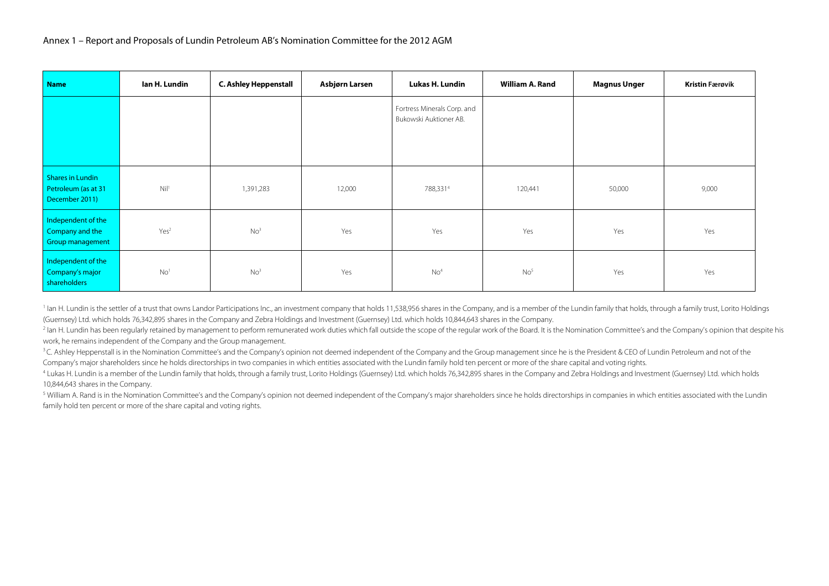| <b>Name</b>                                                      | lan H. Lundin    | <b>C. Ashley Heppenstall</b> | Asbjørn Larsen | Lukas H. Lundin                                       | William A. Rand | <b>Magnus Unger</b> | <b>Kristin Færøvik</b> |
|------------------------------------------------------------------|------------------|------------------------------|----------------|-------------------------------------------------------|-----------------|---------------------|------------------------|
|                                                                  |                  |                              |                | Fortress Minerals Corp. and<br>Bukowski Auktioner AB. |                 |                     |                        |
| <b>Shares in Lundin</b><br>Petroleum (as at 31<br>December 2011) | Nil <sup>1</sup> | 1,391,283                    | 12,000         | 788,3314                                              | 120,441         | 50,000              | 9,000                  |
| Independent of the<br>Company and the<br>Group management        | Yes <sup>2</sup> | No <sup>3</sup>              | Yes            | Yes                                                   | Yes             | Yes                 | Yes                    |
| Independent of the<br>Company's major<br>shareholders            | No <sup>1</sup>  | No <sup>3</sup>              | Yes            | No <sup>4</sup>                                       | No <sup>5</sup> | Yes                 | Yes                    |

<sup>1</sup> lan H. Lundin is the settler of a trust that owns Landor Participations Inc., an investment company that holds 11,538,956 shares in the Company, and is a member of the Lundin family that holds, through a family trust, (Guernsey) Ltd. which holds 76,342,895 shares in the Company and Zebra Holdings and Investment (Guernsey) Ltd. which holds 10,844,643 shares in the Company.

<sup>2</sup> lan H. Lundin has been regularly retained by management to perform remunerated work duties which fall outside the scope of the regular work of the Board. It is the Nomination Committee's and the Company's opinion that work, he remains independent of the Company and the Group management.

<sup>3</sup>C. Ashley Heppenstall is in the Nomination Committee's and the Company's opinion not deemed independent of the Company and the Group management since he is the President & CEO of Lundin Petroleum and not of the Company's major shareholders since he holds directorships in two companies in which entities associated with the Lundin family hold ten percent or more of the share capital and voting rights.

4 Lukas H. Lundin is a member of the Lundin family that holds, through a family trust, Lorito Holdings (Guernsey) Ltd. which holds 76,342,895 shares in the Company and Zebra Holdings and Investment (Guernsey) Ltd. which ho 10,844,643 shares in the Company.

<sup>5</sup> William A. Rand is in the Nomination Committee's and the Company's opinion not deemed independent of the Company's major shareholders since he holds directorships in companies in which entities associated with the Lund family hold ten percent or more of the share capital and voting rights.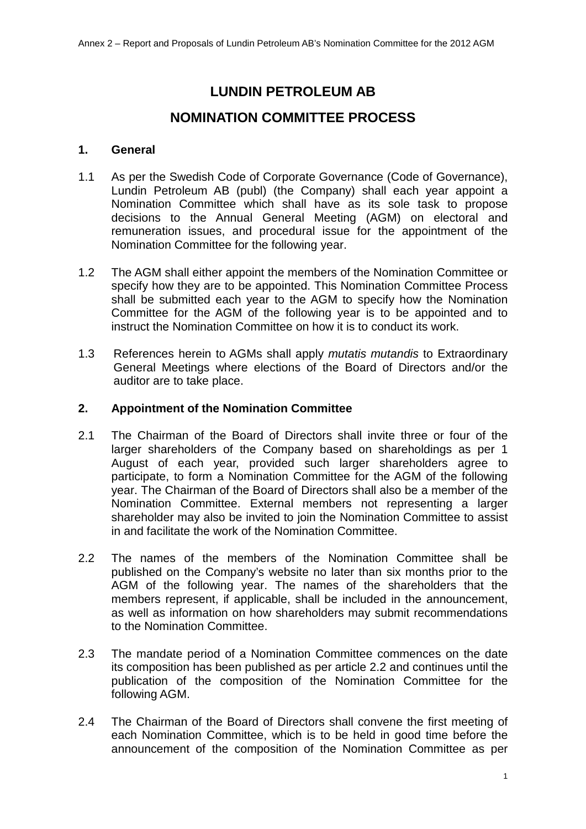# **LUNDIN PETROLEUM AB**

## **NOMINATION COMMITTEE PROCESS**

### **1. General**

- 1.1 As per the Swedish Code of Corporate Governance (Code of Governance), Lundin Petroleum AB (publ) (the Company) shall each year appoint a Nomination Committee which shall have as its sole task to propose decisions to the Annual General Meeting (AGM) on electoral and remuneration issues, and procedural issue for the appointment of the Nomination Committee for the following year.
- 1.2 The AGM shall either appoint the members of the Nomination Committee or specify how they are to be appointed. This Nomination Committee Process shall be submitted each year to the AGM to specify how the Nomination Committee for the AGM of the following year is to be appointed and to instruct the Nomination Committee on how it is to conduct its work.
- 1.3 References herein to AGMs shall apply *mutatis mutandis* to Extraordinary General Meetings where elections of the Board of Directors and/or the auditor are to take place.

### **2. Appointment of the Nomination Committee**

- 2.1 The Chairman of the Board of Directors shall invite three or four of the larger shareholders of the Company based on shareholdings as per 1 August of each year, provided such larger shareholders agree to participate, to form a Nomination Committee for the AGM of the following year. The Chairman of the Board of Directors shall also be a member of the Nomination Committee. External members not representing a larger shareholder may also be invited to join the Nomination Committee to assist in and facilitate the work of the Nomination Committee.
- 2.2 The names of the members of the Nomination Committee shall be published on the Company's website no later than six months prior to the AGM of the following year. The names of the shareholders that the members represent, if applicable, shall be included in the announcement, as well as information on how shareholders may submit recommendations to the Nomination Committee.
- 2.3 The mandate period of a Nomination Committee commences on the date its composition has been published as per article 2.2 and continues until the publication of the composition of the Nomination Committee for the following AGM.
- 2.4 The Chairman of the Board of Directors shall convene the first meeting of each Nomination Committee, which is to be held in good time before the announcement of the composition of the Nomination Committee as per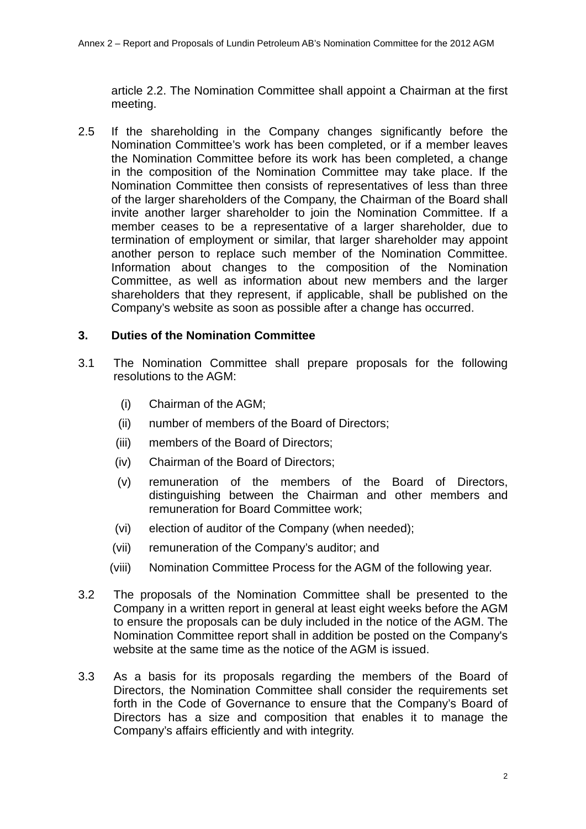article 2.2. The Nomination Committee shall appoint a Chairman at the first meeting.

2.5 If the shareholding in the Company changes significantly before the Nomination Committee's work has been completed, or if a member leaves the Nomination Committee before its work has been completed, a change in the composition of the Nomination Committee may take place. If the Nomination Committee then consists of representatives of less than three of the larger shareholders of the Company, the Chairman of the Board shall invite another larger shareholder to join the Nomination Committee. If a member ceases to be a representative of a larger shareholder, due to termination of employment or similar, that larger shareholder may appoint another person to replace such member of the Nomination Committee. Information about changes to the composition of the Nomination Committee, as well as information about new members and the larger shareholders that they represent, if applicable, shall be published on the Company's website as soon as possible after a change has occurred.

#### **3. Duties of the Nomination Committee**

- 3.1 The Nomination Committee shall prepare proposals for the following resolutions to the AGM:
	- (i) Chairman of the AGM;
	- (ii) number of members of the Board of Directors;
	- (iii) members of the Board of Directors;
	- (iv) Chairman of the Board of Directors;
	- (v) remuneration of the members of the Board of Directors, distinguishing between the Chairman and other members and remuneration for Board Committee work;
	- (vi) election of auditor of the Company (when needed);
	- (vii) remuneration of the Company's auditor; and
	- (viii) Nomination Committee Process for the AGM of the following year.
- 3.2 The proposals of the Nomination Committee shall be presented to the Company in a written report in general at least eight weeks before the AGM to ensure the proposals can be duly included in the notice of the AGM. The Nomination Committee report shall in addition be posted on the Company's website at the same time as the notice of the AGM is issued.
- 3.3 As a basis for its proposals regarding the members of the Board of Directors, the Nomination Committee shall consider the requirements set forth in the Code of Governance to ensure that the Company's Board of Directors has a size and composition that enables it to manage the Company's affairs efficiently and with integrity.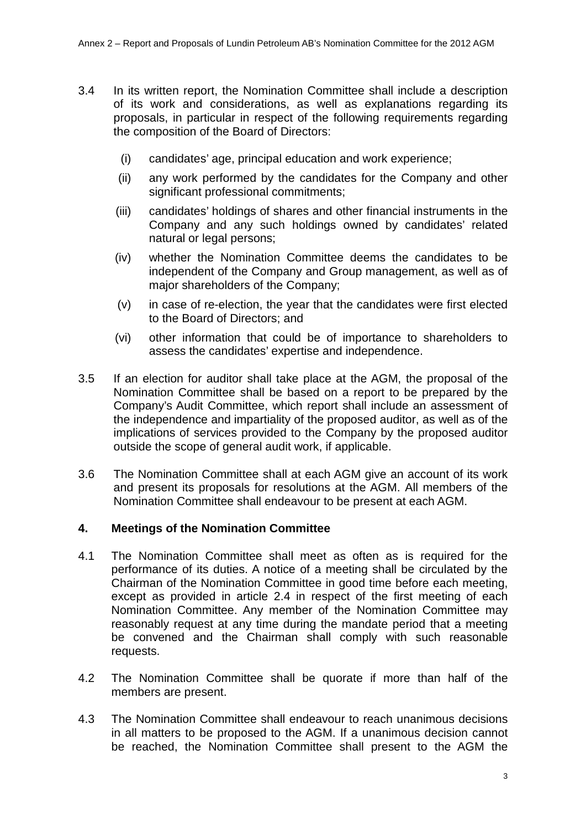- 3.4 In its written report, the Nomination Committee shall include a description of its work and considerations, as well as explanations regarding its proposals, in particular in respect of the following requirements regarding the composition of the Board of Directors:
	- (i) candidates' age, principal education and work experience;
	- (ii) any work performed by the candidates for the Company and other significant professional commitments;
	- (iii) candidates' holdings of shares and other financial instruments in the Company and any such holdings owned by candidates' related natural or legal persons;
	- (iv) whether the Nomination Committee deems the candidates to be independent of the Company and Group management, as well as of major shareholders of the Company;
	- (v) in case of re-election, the year that the candidates were first elected to the Board of Directors; and
	- (vi) other information that could be of importance to shareholders to assess the candidates' expertise and independence.
- 3.5 If an election for auditor shall take place at the AGM, the proposal of the Nomination Committee shall be based on a report to be prepared by the Company's Audit Committee, which report shall include an assessment of the independence and impartiality of the proposed auditor, as well as of the implications of services provided to the Company by the proposed auditor outside the scope of general audit work, if applicable.
- 3.6 The Nomination Committee shall at each AGM give an account of its work and present its proposals for resolutions at the AGM. All members of the Nomination Committee shall endeavour to be present at each AGM.

### **4. Meetings of the Nomination Committee**

- 4.1 The Nomination Committee shall meet as often as is required for the performance of its duties. A notice of a meeting shall be circulated by the Chairman of the Nomination Committee in good time before each meeting, except as provided in article 2.4 in respect of the first meeting of each Nomination Committee. Any member of the Nomination Committee may reasonably request at any time during the mandate period that a meeting be convened and the Chairman shall comply with such reasonable requests.
- 4.2 The Nomination Committee shall be quorate if more than half of the members are present.
- 4.3 The Nomination Committee shall endeavour to reach unanimous decisions in all matters to be proposed to the AGM. If a unanimous decision cannot be reached, the Nomination Committee shall present to the AGM the